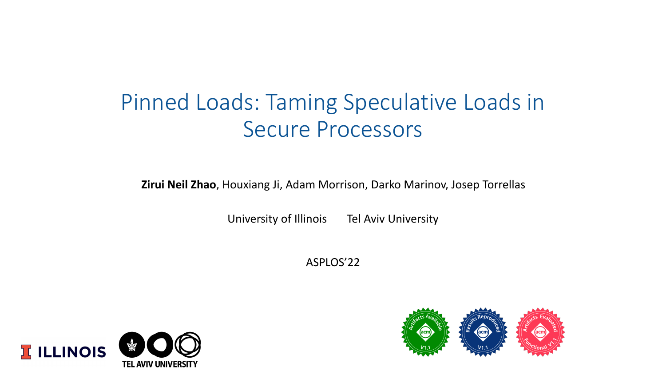# Pinned Loads: Taming Speculative Loads in Secure Processors

**Zirui Neil Zhao**, Houxiang Ji, Adam Morrison, Darko Marinov, Josep Torrellas

University of Illinois Tel Aviv University

ASPLOS'22



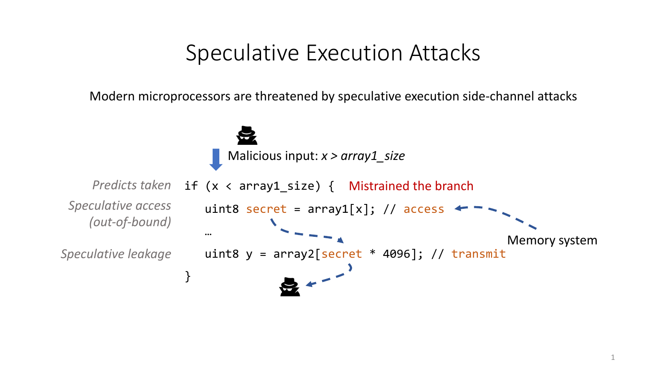### Speculative Execution Attacks

Modern microprocessors are threatened by speculative execution side-channel attacks

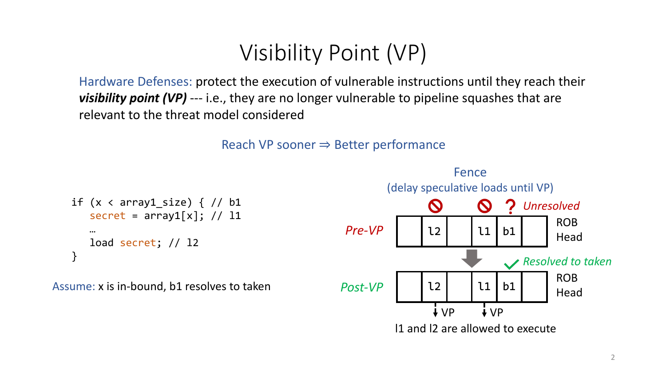# Visibility Point (VP)

Hardware Defenses: protect the execution of vulnerable instructions until they reach their *visibility point (VP)* --- i.e., they are no longer vulnerable to pipeline squashes that are relevant to the threat model considered



```
if (x < array1_size) { // b1
  secret = array1[x]; // 11…
  load secret; // l2
}
```
Assume: x is in-bound, b1 resolves to taken

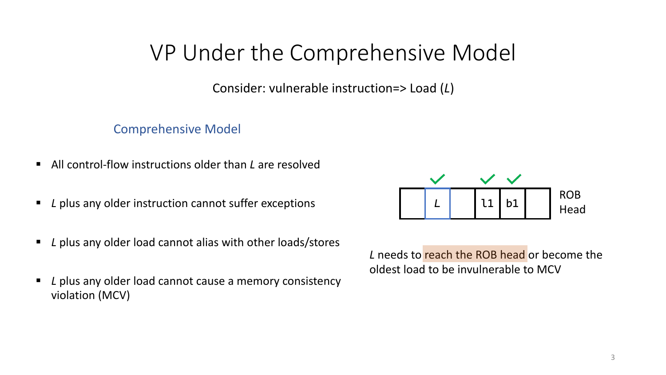# VP Under the Comprehensive Model

Consider: vulnerable instruction=> Load (*L*)

Comprehensive Model

- All control-flow instructions older than *L* are resolved
- *L* plus any older instruction cannot suffer exceptions
- *L* plus any older load cannot alias with other loads/stores
- *L* plus any older load cannot cause a memory consistency violation (MCV)



L needs to reach the ROB head or become the oldest load to be invulnerable to MCV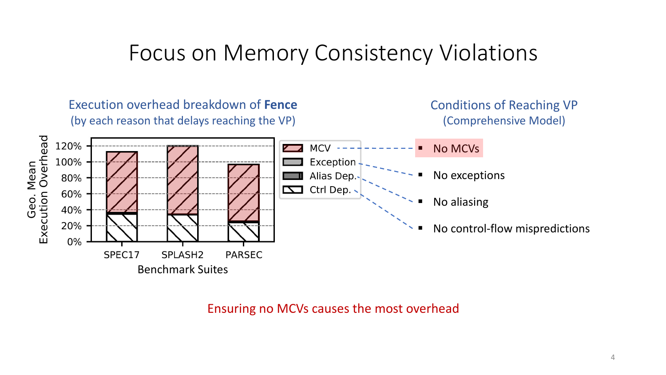### Focus on Memory Consistency Violations



Ensuring no MCVs causes the most overhead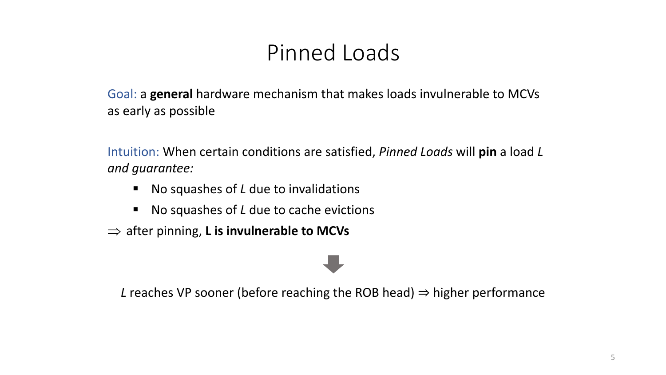# Pinned Loads

Goal: a **general** hardware mechanism that makes loads invulnerable to MCVs as early as possible

Intuition: When certain conditions are satisfied, *Pinned Loads* will **pin** a load *L and guarantee:*

- No squashes of *L* due to invalidations
- § No squashes of *L* due to cache evictions
- $\Rightarrow$  after pinning, **L** is invulnerable to MCVs

*L* reaches VP sooner (before reaching the ROB head) ⇒ higher performance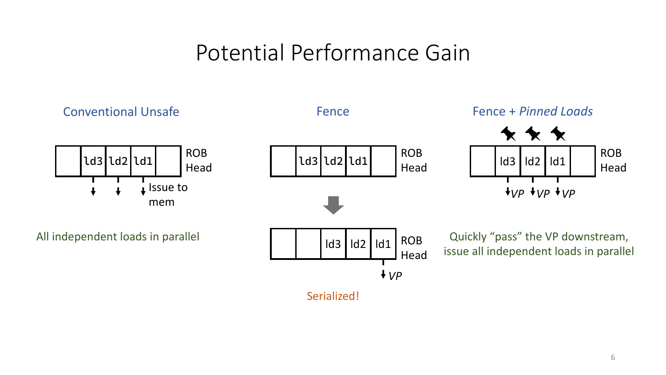# Potential Performance Gain

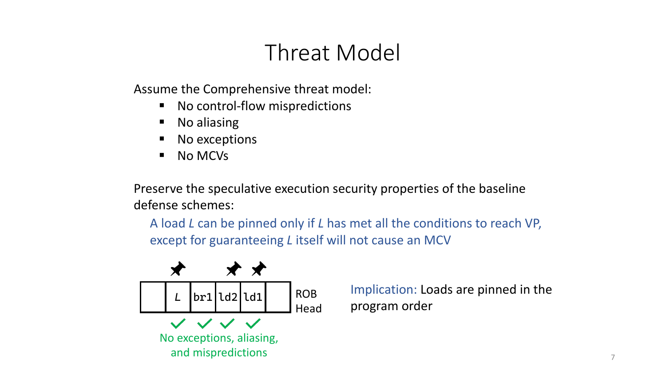# Threat Model

Assume the Comprehensive threat model:

- No control-flow mispredictions
- § No aliasing
- No exceptions
- § No MCVs

Preserve the speculative execution security properties of the baseline defense schemes:

A load *L* can be pinned only if *L* has met all the conditions to reach VP, except for guaranteeing *L* itself will not cause an MCV



*<sup>L</sup>* Implication: Loads are pinned in the program order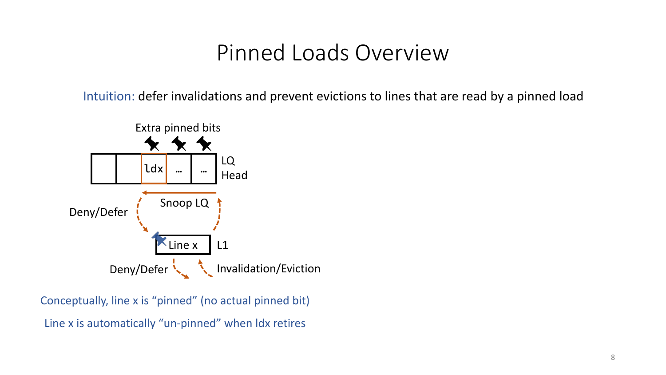### Pinned Loads Overview

Intuition: defer invalidations and prevent evictions to lines that are read by a pinned load



Line x is automatically "un-pinned" when ldx retires Conceptually, line x is "pinned" (no actual pinned bit)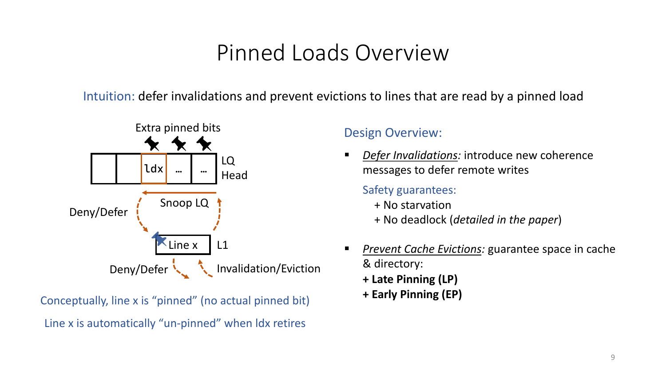# Pinned Loads Overview

Intuition: defer invalidations and prevent evictions to lines that are read by a pinned load



Line x is automatically "un-pinned" when ldx retires **+ Early Pinning (EP)** Conceptually, line x is "pinned" (no actual pinned bit)

#### Design Overview:

**Defer Invalidations:** introduce new coherence messages to defer remote writes

#### Safety guarantees:

- + No starvation
- + No deadlock (*detailed in the paper*)
- § *Prevent Cache Evictions:* guarantee space in cache & directory: **+ Late Pinning (LP)**
	-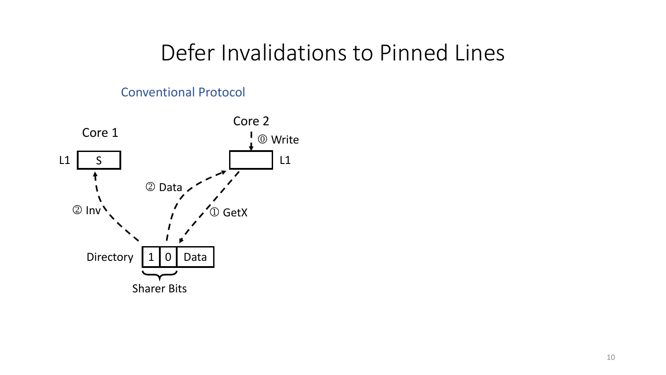### Defer Invalidations to Pinned Lines

#### Conventional Protocol

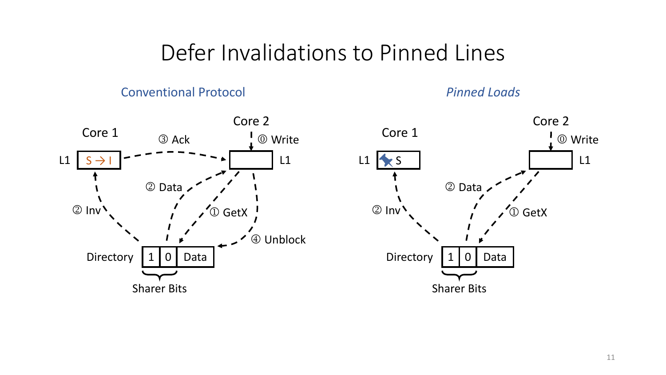### Defer Invalidations to Pinned Lines

#### Conventional Protocol

*Pinned Loads*

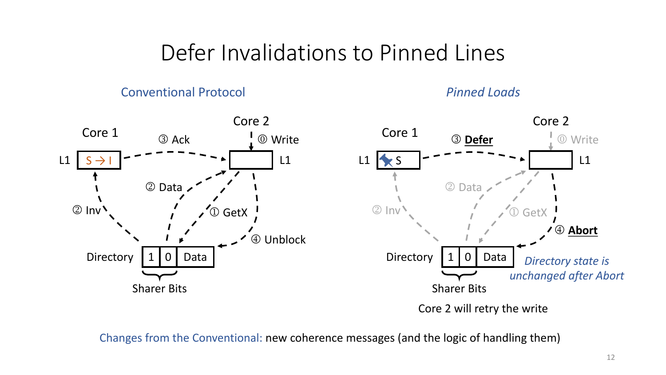# Defer Invalidations to Pinned Lines

#### Conventional Protocol

*Pinned Loads*



Changes from the Conventional: new coherence messages (and the logic of handling them)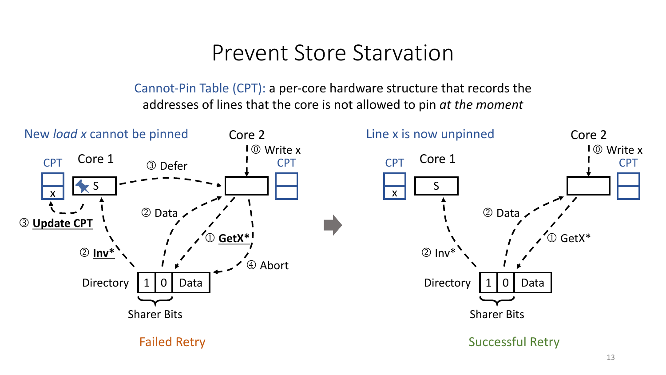### Prevent Store Starvation

Cannot-Pin Table (CPT): a per-core hardware structure that records the addresses of lines that the core is not allowed to pin *at the moment*

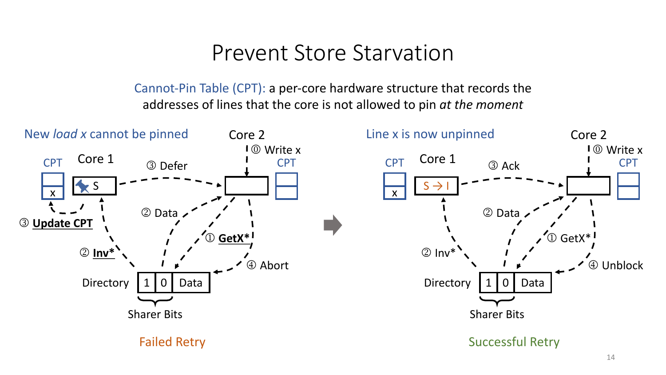### Prevent Store Starvation

Cannot-Pin Table (CPT): a per-core hardware structure that records the addresses of lines that the core is not allowed to pin *at the moment*

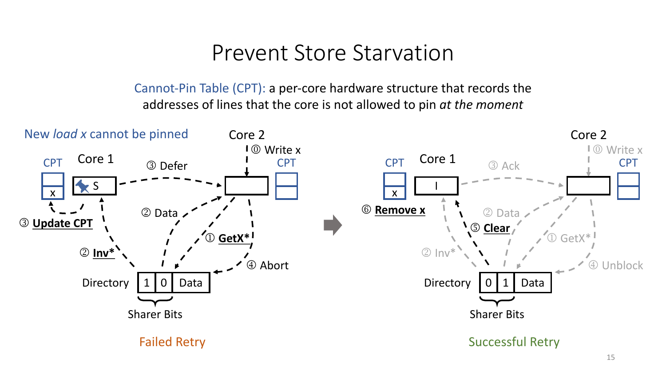### Prevent Store Starvation

Cannot-Pin Table (CPT): a per-core hardware structure that records the addresses of lines that the core is not allowed to pin *at the moment*

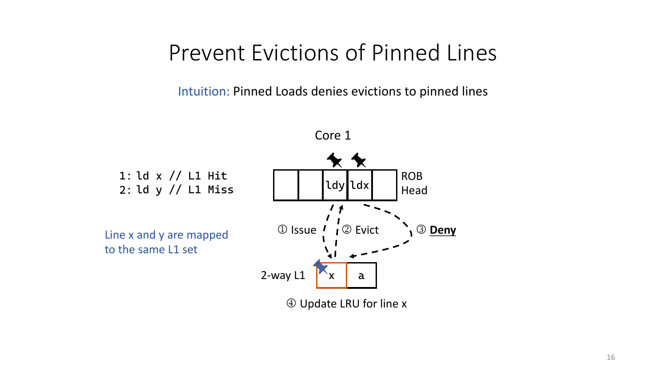### Prevent Evictions of Pinned Lines

Intuition: Pinned Loads denies evictions to pinned lines



4 Update LRU for line x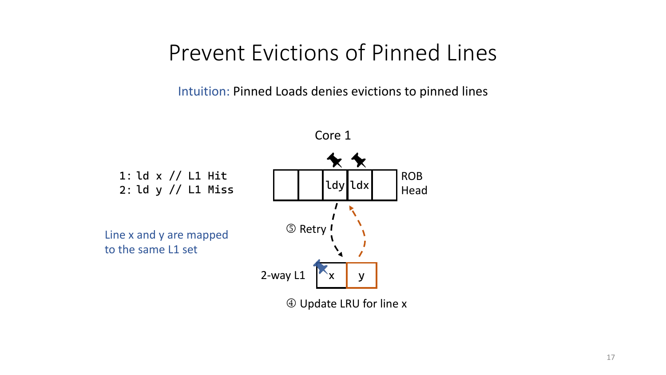### Prevent Evictions of Pinned Lines

Intuition: Pinned Loads denies evictions to pinned lines



4 Update LRU for line x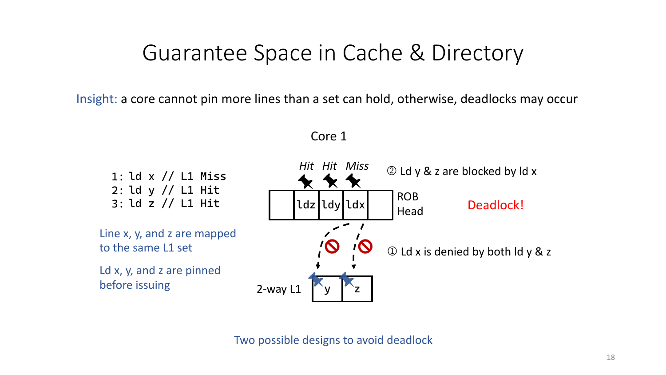# Guarantee Space in Cache & Directory

Insight: a core cannot pin more lines than a set can hold, otherwise, deadlocks may occur

Core 1



Two possible designs to avoid deadlock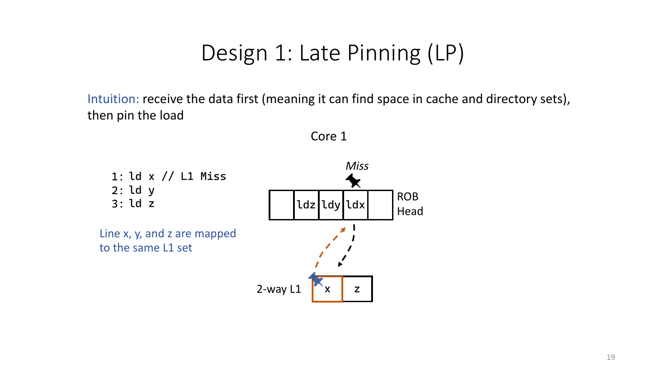# Design 1: Late Pinning (LP)

Intuition: receive the data first (meaning it can find space in cache and directory sets), then pin the load



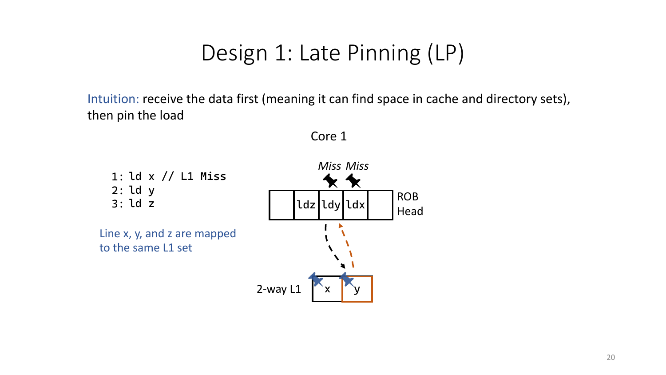# Design 1: Late Pinning (LP)

Intuition: receive the data first (meaning it can find space in cache and directory sets), then pin the load



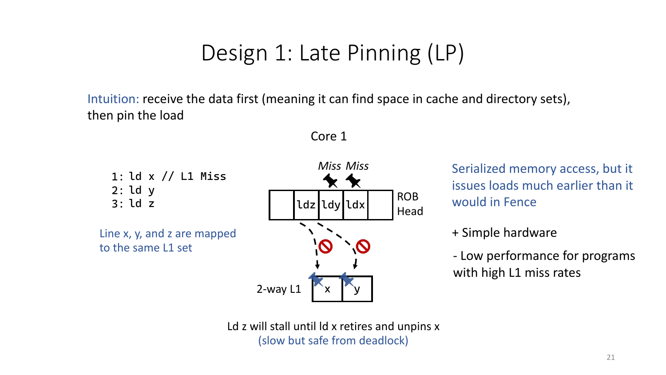# Design 1: Late Pinning (LP)

Intuition: receive the data first (meaning it can find space in cache and directory sets), then pin the load



Core 1

Serialized memory access, but it issues loads much earlier than it would in Fence

+ Simple hardware

- Low performance for programs with high L1 miss rates

Ld z will stall until ld x retires and unpins x (slow but safe from deadlock)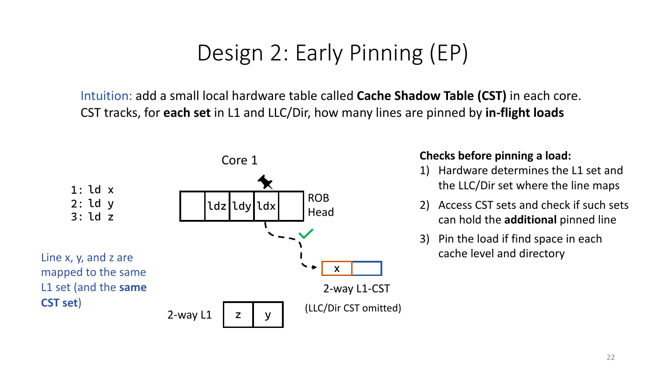Intuition: add a small local hardware table called **Cache Shadow Table (CST)** in each core. CST tracks, for **each set** in L1 and LLC/Dir, how many lines are pinned by **in-flight loads**



#### **Checks before pinning a load:**

- 1) Hardware determines the L1 set and the LLC/Dir set where the line maps
- 2) Access CST sets and check if such sets can hold the **additional** pinned line
- 3) Pin the load if find space in each cache level and directory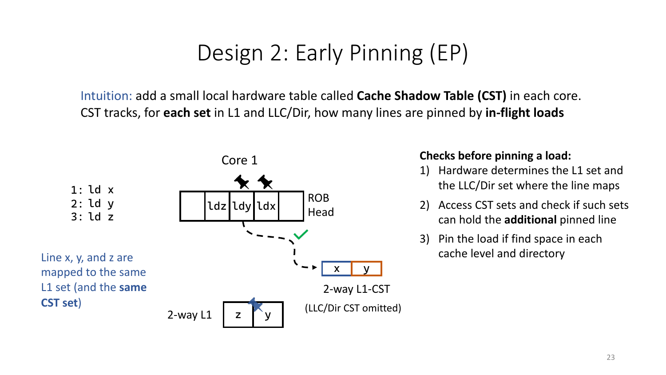Intuition: add a small local hardware table called **Cache Shadow Table (CST)** in each core. CST tracks, for **each set** in L1 and LLC/Dir, how many lines are pinned by **in-flight loads**



#### **Checks before pinning a load:**

- 1) Hardware determines the L1 set and the LLC/Dir set where the line maps
- 2) Access CST sets and check if such sets can hold the **additional** pinned line
- 3) Pin the load if find space in each cache level and directory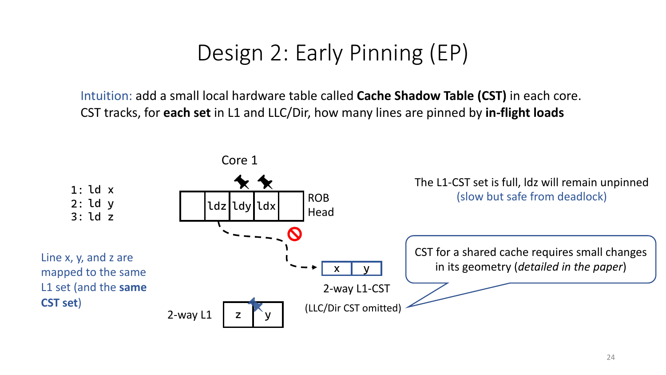Intuition: add a small local hardware table called **Cache Shadow Table (CST)** in each core. CST tracks, for **each set** in L1 and LLC/Dir, how many lines are pinned by **in-flight loads**

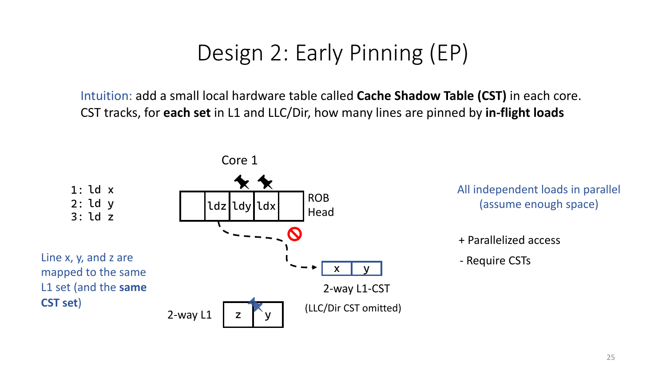Intuition: add a small local hardware table called **Cache Shadow Table (CST)** in each core. CST tracks, for **each set** in L1 and LLC/Dir, how many lines are pinned by **in-flight loads**

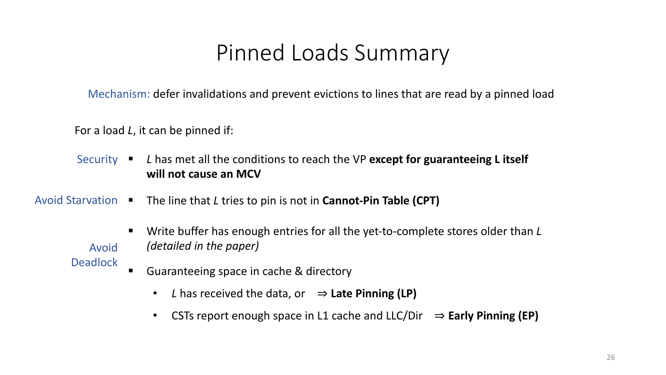# Pinned Loads Summary

Mechanism: defer invalidations and prevent evictions to lines that are read by a pinned load

For a load *L*, it can be pinned if:

- § *L* has met all the conditions to reach the VP **except for guaranteeing L itself will not cause an MCV** Security  $\blacksquare$
- § The line that *L* tries to pin is not in **Cannot-Pin Table (CPT)** Avoid Starvation
	- Write buffer has enough entries for all the yet-to-complete stores older than *L (detailed in the paper)*

Avoid **Deadlock** 

- Guaranteeing space in cache & directory
	- *L* has received the data, or ⇒ **Late Pinning (LP)**
	- CSTs report enough space in L1 cache and LLC/Dir ⇒ **Early Pinning (EP)**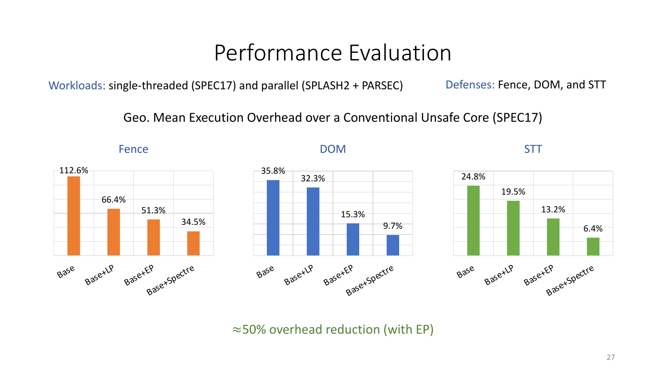# Performance Evaluation

Workloads: single-threaded (SPEC17) and parallel (SPLASH2 + PARSEC) Defenses: Fence, DOM, and STT

Geo. Mean Execution Overhead over a Conventional Unsafe Core (SPEC17)



≈50% overhead reduction (with EP)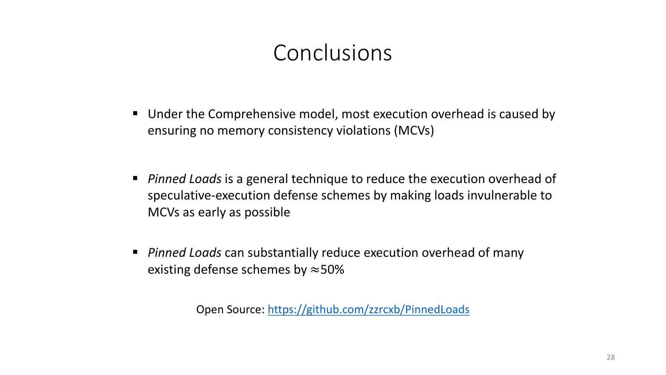# Conclusions

- Under the Comprehensive model, most execution overhead is caused by ensuring no memory consistency violations (MCVs)
- *Pinned Loads* is a general technique to reduce the execution overhead of speculative-execution defense schemes by making loads invulnerable to MCVs as early as possible
- *Pinned Loads* can substantially reduce execution overhead of many existing defense schemes by  $\approx$  50%

Open Source: <https://github.com/zzrcxb/PinnedLoads>